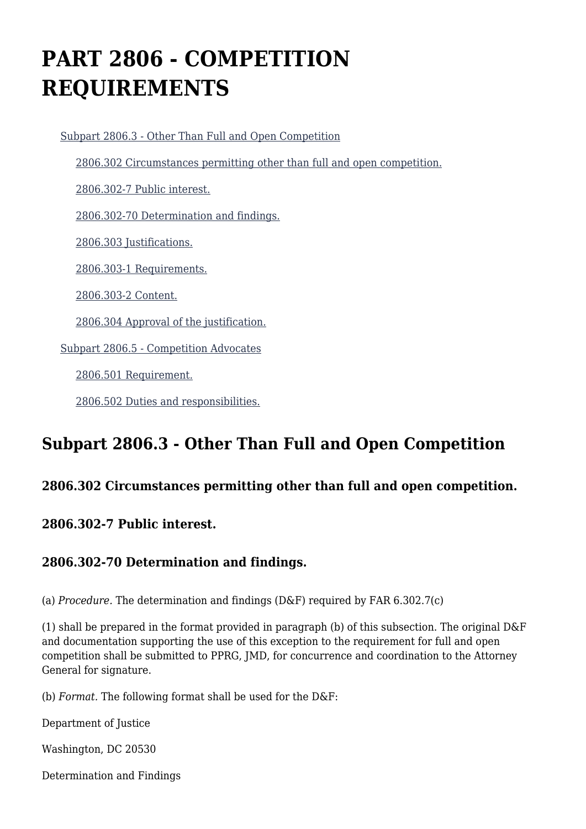# **PART 2806 - COMPETITION REQUIREMENTS**

 [Subpart 2806.3 - Other Than Full and Open Competition](https://login.acquisition.gov/%5Brp:link:jar-part-2806%5D#Subpart_2806_3_T48_60116171) [2806.302 Circumstances permitting other than full and open competition.](https://login.acquisition.gov/%5Brp:link:jar-part-2806%5D#Section_2806_302_T48_6011617111) [2806.302-7 Public interest.](https://login.acquisition.gov/%5Brp:link:jar-part-2806%5D#Section_2806_302_7_T48_6011617112) [2806.302-70 Determination and findings.](https://login.acquisition.gov/%5Brp:link:jar-part-2806%5D#Section_2806_302_70_T48_6011617113) [2806.303 Justifications.](https://login.acquisition.gov/%5Brp:link:jar-part-2806%5D#Section_2806_303_T48_6011617114) [2806.303-1 Requirements.](https://login.acquisition.gov/%5Brp:link:jar-part-2806%5D#Section_2806_303_1_T48_6011617115) [2806.303-2 Content.](https://login.acquisition.gov/%5Brp:link:jar-part-2806%5D#Section_2806_303_2_T48_6011617116) [2806.304 Approval of the justification.](https://login.acquisition.gov/%5Brp:link:jar-part-2806%5D#Section_2806_304_T48_6011617117) [Subpart 2806.5 - Competition Advocates](https://login.acquisition.gov/%5Brp:link:jar-part-2806%5D#Subpart_2806_5_T48_60116172) [2806.501 Requirement.](https://login.acquisition.gov/%5Brp:link:jar-part-2806%5D#Section_2806_501_T48_6011617211) [2806.502 Duties and responsibilities.](https://login.acquisition.gov/%5Brp:link:jar-part-2806%5D#Section_2806_502_T48_6011617212)

# **Subpart 2806.3 - Other Than Full and Open Competition**

#### **2806.302 Circumstances permitting other than full and open competition.**

#### **2806.302-7 Public interest.**

#### **2806.302-70 Determination and findings.**

(a) *Procedure.* The determination and findings (D&F) required by FAR 6.302.7(c)

(1) shall be prepared in the format provided in paragraph (b) of this subsection. The original D&F and documentation supporting the use of this exception to the requirement for full and open competition shall be submitted to PPRG, JMD, for concurrence and coordination to the Attorney General for signature.

(b) *Format.* The following format shall be used for the D&F:

Department of Justice

Washington, DC 20530

Determination and Findings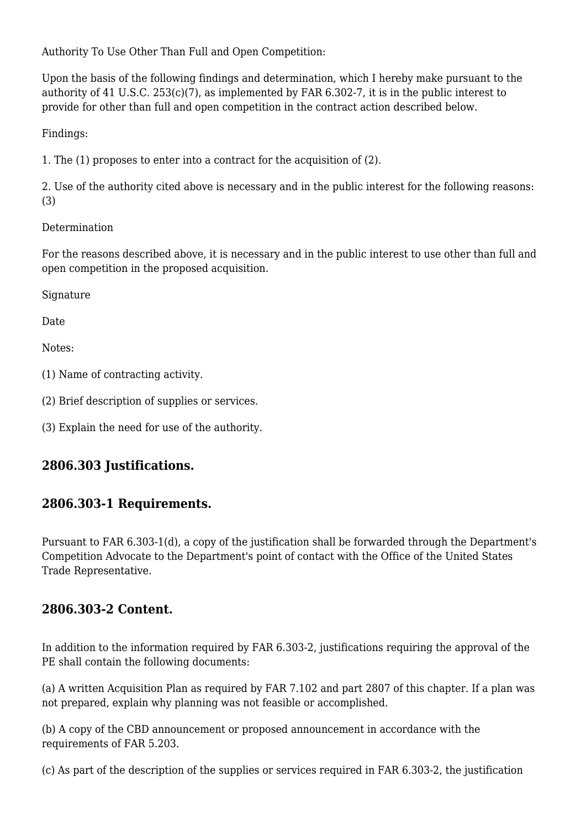Authority To Use Other Than Full and Open Competition:

Upon the basis of the following findings and determination, which I hereby make pursuant to the authority of 41 U.S.C. 253(c)(7), as implemented by FAR 6.302-7, it is in the public interest to provide for other than full and open competition in the contract action described below.

Findings:

1. The (1) proposes to enter into a contract for the acquisition of (2).

2. Use of the authority cited above is necessary and in the public interest for the following reasons: (3)

#### Determination

For the reasons described above, it is necessary and in the public interest to use other than full and open competition in the proposed acquisition.

Signature

Date

Notes:

- (1) Name of contracting activity.
- (2) Brief description of supplies or services.
- (3) Explain the need for use of the authority.

### **2806.303 Justifications.**

#### **2806.303-1 Requirements.**

Pursuant to FAR 6.303-1(d), a copy of the justification shall be forwarded through the Department's Competition Advocate to the Department's point of contact with the Office of the United States Trade Representative.

#### **2806.303-2 Content.**

In addition to the information required by FAR 6.303-2, justifications requiring the approval of the PE shall contain the following documents:

(a) A written Acquisition Plan as required by FAR 7.102 and part 2807 of this chapter. If a plan was not prepared, explain why planning was not feasible or accomplished.

(b) A copy of the CBD announcement or proposed announcement in accordance with the requirements of FAR 5.203.

(c) As part of the description of the supplies or services required in FAR 6.303-2, the justification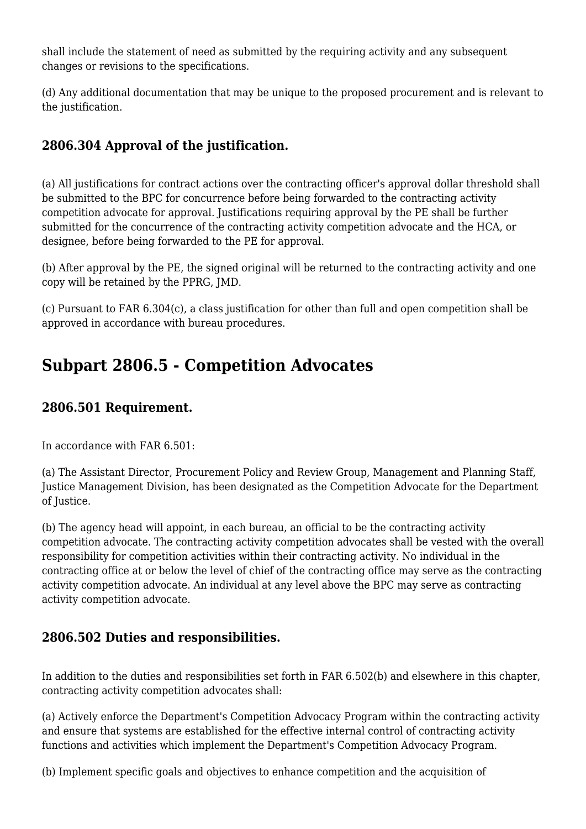shall include the statement of need as submitted by the requiring activity and any subsequent changes or revisions to the specifications.

(d) Any additional documentation that may be unique to the proposed procurement and is relevant to the justification.

## **2806.304 Approval of the justification.**

(a) All justifications for contract actions over the contracting officer's approval dollar threshold shall be submitted to the BPC for concurrence before being forwarded to the contracting activity competition advocate for approval. Justifications requiring approval by the PE shall be further submitted for the concurrence of the contracting activity competition advocate and the HCA, or designee, before being forwarded to the PE for approval.

(b) After approval by the PE, the signed original will be returned to the contracting activity and one copy will be retained by the PPRG, JMD.

(c) Pursuant to FAR 6.304(c), a class justification for other than full and open competition shall be approved in accordance with bureau procedures.

## **Subpart 2806.5 - Competition Advocates**

#### **2806.501 Requirement.**

In accordance with FAR 6.501:

(a) The Assistant Director, Procurement Policy and Review Group, Management and Planning Staff, Justice Management Division, has been designated as the Competition Advocate for the Department of Justice.

(b) The agency head will appoint, in each bureau, an official to be the contracting activity competition advocate. The contracting activity competition advocates shall be vested with the overall responsibility for competition activities within their contracting activity. No individual in the contracting office at or below the level of chief of the contracting office may serve as the contracting activity competition advocate. An individual at any level above the BPC may serve as contracting activity competition advocate.

#### **2806.502 Duties and responsibilities.**

In addition to the duties and responsibilities set forth in FAR 6.502(b) and elsewhere in this chapter, contracting activity competition advocates shall:

(a) Actively enforce the Department's Competition Advocacy Program within the contracting activity and ensure that systems are established for the effective internal control of contracting activity functions and activities which implement the Department's Competition Advocacy Program.

(b) Implement specific goals and objectives to enhance competition and the acquisition of